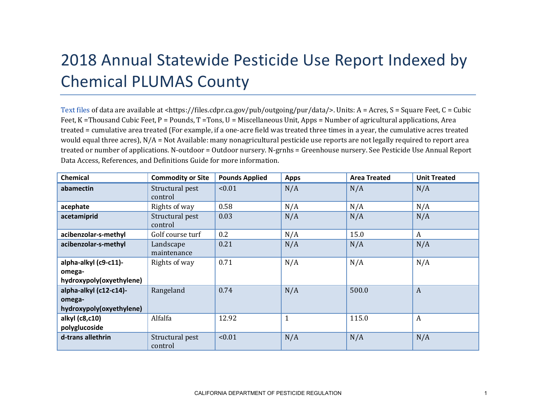## 2018 Annual Statewide Pesticide Use Report Indexed by Chemical PLUMAS County

[Text files](https://files.cdpr.ca.gov/pub/outgoing/pur/data/) of data are available at <https://files.cdpr.ca.gov/pub/outgoing/pur/data/>. Units: A = Acres, S = Square Feet, C = Cubic Feet, K = Thousand Cubic Feet, P = Pounds, T = Tons, U = Miscellaneous Unit, Apps = Number of agricultural applications, Area treated = cumulative area treated (For example, if a one-acre field was treated three times in a year, the cumulative acres treated would equal three acres), N/A = Not Available: many nonagricultural pesticide use reports are not legally required to report area treated or number of applications. N-outdoor = Outdoor nursery. N-grnhs = Greenhouse nursery. See Pesticide Use Annual Report Data Access, References, and Definitions Guide for more information.

| <b>Chemical</b>          | <b>Commodity or Site</b>   | <b>Pounds Applied</b> | <b>Apps</b>  | <b>Area Treated</b> | <b>Unit Treated</b> |
|--------------------------|----------------------------|-----------------------|--------------|---------------------|---------------------|
| abamectin                | Structural pest<br>control | < 0.01                | N/A          | N/A                 | N/A                 |
| acephate                 | Rights of way              | 0.58                  | N/A          | N/A                 | N/A                 |
| acetamiprid              | Structural pest<br>control | 0.03                  | N/A          | N/A                 | N/A                 |
| acibenzolar-s-methyl     | Golf course turf           | 0.2                   | N/A          | 15.0                | A                   |
| acibenzolar-s-methyl     | Landscape<br>maintenance   | 0.21                  | N/A          | N/A                 | N/A                 |
| alpha-alkyl (c9-c11)-    | Rights of way              | 0.71                  | N/A          | N/A                 | N/A                 |
| omega-                   |                            |                       |              |                     |                     |
| hydroxypoly(oxyethylene) |                            |                       |              |                     |                     |
| alpha-alkyl (c12-c14)-   | Rangeland                  | 0.74                  | N/A          | 500.0               | $\mathbf{A}$        |
| omega-                   |                            |                       |              |                     |                     |
| hydroxypoly(oxyethylene) |                            |                       |              |                     |                     |
| alkyl (c8,c10)           | Alfalfa                    | 12.92                 | $\mathbf{1}$ | 115.0               | $\boldsymbol{A}$    |
| polyglucoside            |                            |                       |              |                     |                     |
| d-trans allethrin        | Structural pest<br>control | < 0.01                | N/A          | N/A                 | N/A                 |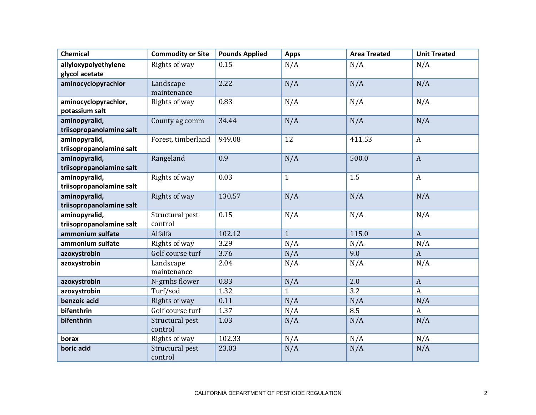| <b>Chemical</b>          | <b>Commodity or Site</b>   | <b>Pounds Applied</b> | <b>Apps</b>  | <b>Area Treated</b> | <b>Unit Treated</b> |
|--------------------------|----------------------------|-----------------------|--------------|---------------------|---------------------|
| allyloxypolyethylene     | Rights of way              | 0.15                  | N/A          | N/A                 | N/A                 |
| glycol acetate           |                            |                       |              |                     |                     |
| aminocyclopyrachlor      | Landscape                  | 2.22                  | N/A          | N/A                 | N/A                 |
|                          | maintenance                |                       |              |                     |                     |
| aminocyclopyrachlor,     | Rights of way              | 0.83                  | N/A          | N/A                 | N/A                 |
| potassium salt           |                            |                       |              |                     |                     |
| aminopyralid,            | County ag comm             | 34.44                 | N/A          | N/A                 | N/A                 |
| triisopropanolamine salt |                            |                       |              |                     |                     |
| aminopyralid,            | Forest, timberland         | 949.08                | 12           | 411.53              | $\mathbf{A}$        |
| triisopropanolamine salt |                            |                       |              |                     |                     |
| aminopyralid,            | Rangeland                  | 0.9                   | N/A          | 500.0               | $\mathbf{A}$        |
| triisopropanolamine salt |                            |                       |              |                     |                     |
| aminopyralid,            | Rights of way              | 0.03                  | $\mathbf{1}$ | 1.5                 | $\mathbf{A}$        |
| triisopropanolamine salt |                            |                       |              |                     |                     |
| aminopyralid,            | Rights of way              | 130.57                | N/A          | N/A                 | N/A                 |
| triisopropanolamine salt |                            |                       |              |                     |                     |
| aminopyralid,            | Structural pest<br>control | 0.15                  | N/A          | N/A                 | N/A                 |
| triisopropanolamine salt |                            |                       |              |                     |                     |
| ammonium sulfate         | Alfalfa                    | 102.12                | $\mathbf{1}$ | 115.0               | $\mathbf{A}$        |
| ammonium sulfate         | Rights of way              | 3.29                  | N/A          | N/A                 | N/A                 |
| azoxystrobin             | Golf course turf           | 3.76                  | N/A          | 9.0                 | $\mathbf{A}$        |
| azoxystrobin             | Landscape                  | 2.04                  | N/A          | N/A                 | N/A                 |
|                          | maintenance                |                       |              |                     |                     |
| azoxystrobin             | N-grnhs flower             | 0.83                  | N/A          | 2.0                 | $\mathbf{A}$        |
| azoxystrobin             | Turf/sod                   | 1.32                  | $\mathbf{1}$ | 3.2                 | $\boldsymbol{A}$    |
| benzoic acid             | Rights of way              | 0.11                  | N/A          | N/A                 | N/A                 |
| bifenthrin               | Golf course turf           | 1.37                  | N/A          | 8.5                 | $\mathbf{A}$        |
| bifenthrin               | Structural pest<br>control | 1.03                  | N/A          | N/A                 | N/A                 |
| borax                    | Rights of way              | 102.33                | N/A          | N/A                 | N/A                 |
| boric acid               | Structural pest<br>control | 23.03                 | N/A          | N/A                 | N/A                 |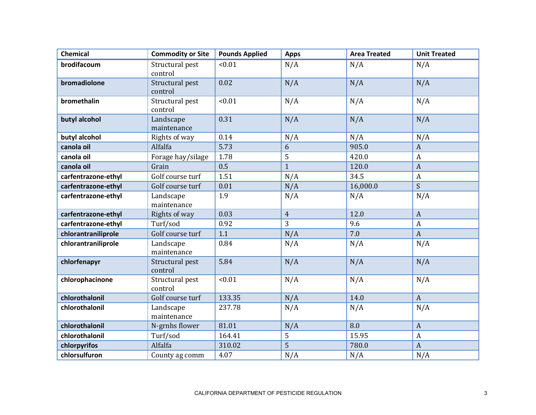| <b>Chemical</b>     | <b>Commodity or Site</b>   | <b>Pounds Applied</b> | <b>Apps</b>    | <b>Area Treated</b> | <b>Unit Treated</b> |
|---------------------|----------------------------|-----------------------|----------------|---------------------|---------------------|
| brodifacoum         | Structural pest<br>control | < 0.01                | N/A            | N/A                 | N/A                 |
| bromadiolone        | Structural pest<br>control | 0.02                  | N/A            | N/A                 | N/A                 |
| bromethalin         | Structural pest<br>control | < 0.01                | N/A            | N/A                 | N/A                 |
| butyl alcohol       | Landscape<br>maintenance   | 0.31                  | N/A            | N/A                 | N/A                 |
| butyl alcohol       | Rights of way              | 0.14                  | N/A            | N/A                 | N/A                 |
| canola oil          | Alfalfa                    | 5.73                  | 6              | 905.0               | $\boldsymbol{A}$    |
| canola oil          | Forage hay/silage          | 1.78                  | 5              | 420.0               | $\boldsymbol{A}$    |
| canola oil          | Grain                      | 0.5                   | $\mathbf{1}$   | 120.0               | $\boldsymbol{A}$    |
| carfentrazone-ethyl | Golf course turf           | 1.51                  | N/A            | 34.5                | $\boldsymbol{A}$    |
| carfentrazone-ethyl | Golf course turf           | 0.01                  | N/A            | 16,000.0            | $\mathsf{S}$        |
| carfentrazone-ethyl | Landscape<br>maintenance   | 1.9                   | N/A            | N/A                 | N/A                 |
| carfentrazone-ethyl | Rights of way              | 0.03                  | $\overline{4}$ | 12.0                | $\boldsymbol{A}$    |
| carfentrazone-ethyl | Turf/sod                   | 0.92                  | 3              | 9.6                 | $\boldsymbol{A}$    |
| chlorantraniliprole | Golf course turf           | 1.1                   | N/A            | 7.0                 | $\boldsymbol{A}$    |
| chlorantraniliprole | Landscape<br>maintenance   | 0.84                  | N/A            | N/A                 | N/A                 |
| chlorfenapyr        | Structural pest<br>control | 5.84                  | N/A            | N/A                 | N/A                 |
| chlorophacinone     | Structural pest<br>control | < 0.01                | N/A            | N/A                 | N/A                 |
| chlorothalonil      | Golf course turf           | 133.35                | N/A            | 14.0                | $\boldsymbol{A}$    |
| chlorothalonil      | Landscape<br>maintenance   | 237.78                | N/A            | N/A                 | N/A                 |
| chlorothalonil      | N-grnhs flower             | 81.01                 | N/A            | 8.0                 | $\boldsymbol{A}$    |
| chlorothalonil      | Turf/sod                   | 164.41                | 5              | 15.95               | $\boldsymbol{A}$    |
| chlorpyrifos        | Alfalfa                    | 310.02                | 5              | 780.0               | $\boldsymbol{A}$    |
| chlorsulfuron       | County ag comm             | 4.07                  | N/A            | N/A                 | N/A                 |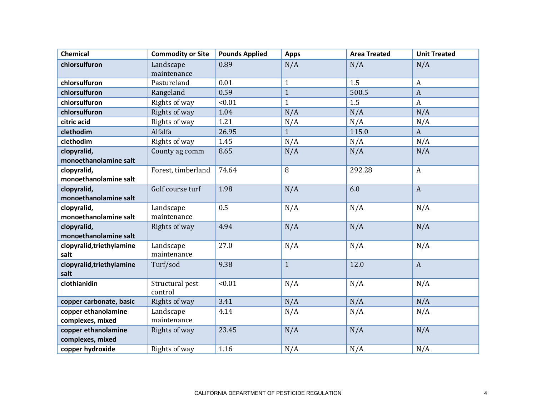| <b>Chemical</b>                   | <b>Commodity or Site</b> | <b>Pounds Applied</b> | <b>Apps</b>  | <b>Area Treated</b> | <b>Unit Treated</b> |
|-----------------------------------|--------------------------|-----------------------|--------------|---------------------|---------------------|
| chlorsulfuron                     | Landscape                | 0.89                  | N/A          | N/A                 | N/A                 |
|                                   | maintenance              |                       |              |                     |                     |
| chlorsulfuron                     | Pastureland              | 0.01                  | $\mathbf{1}$ | 1.5                 | $\boldsymbol{A}$    |
| chlorsulfuron                     | Rangeland                | 0.59                  | $\mathbf{1}$ | 500.5               | $\boldsymbol{A}$    |
| chlorsulfuron                     | Rights of way            | < 0.01                | $\mathbf{1}$ | 1.5                 | $\mathbf{A}$        |
| chlorsulfuron                     | Rights of way            | 1.04                  | N/A          | N/A                 | N/A                 |
| citric acid                       | Rights of way            | 1.21                  | N/A          | N/A                 | N/A                 |
| clethodim                         | Alfalfa                  | 26.95                 | $\mathbf{1}$ | 115.0               | $\mathbf{A}$        |
| clethodim                         | Rights of way            | 1.45                  | N/A          | N/A                 | N/A                 |
| clopyralid,                       | County ag comm           | 8.65                  | N/A          | N/A                 | N/A                 |
| monoethanolamine salt             |                          |                       |              |                     |                     |
| clopyralid,                       | Forest, timberland       | 74.64                 | 8            | 292.28              | $\mathbf{A}$        |
| monoethanolamine salt             |                          |                       |              |                     |                     |
| clopyralid,                       | Golf course turf         | 1.98                  | N/A          | 6.0                 | $\mathbf{A}$        |
| monoethanolamine salt             |                          |                       |              |                     |                     |
| clopyralid,                       | Landscape                | 0.5                   | N/A          | N/A                 | N/A                 |
| monoethanolamine salt             | maintenance              |                       |              |                     |                     |
| clopyralid,                       | Rights of way            | 4.94                  | N/A          | N/A                 | N/A                 |
| monoethanolamine salt             |                          |                       |              |                     |                     |
| clopyralid, triethylamine         | Landscape                | 27.0                  | N/A          | N/A                 | N/A                 |
| salt                              | maintenance              |                       |              |                     |                     |
| clopyralid, triethylamine<br>salt | Turf/sod                 | 9.38                  | $\mathbf{1}$ | 12.0                | $\mathbf{A}$        |
| clothianidin                      | Structural pest          | < 0.01                | N/A          | N/A                 | N/A                 |
|                                   | control                  |                       |              |                     |                     |
| copper carbonate, basic           | Rights of way            | 3.41                  | N/A          | N/A                 | N/A                 |
| copper ethanolamine               | Landscape                | 4.14                  | N/A          | N/A                 | N/A                 |
| complexes, mixed                  | maintenance              |                       |              |                     |                     |
| copper ethanolamine               | Rights of way            | 23.45                 | N/A          | N/A                 | N/A                 |
| complexes, mixed                  |                          |                       |              |                     |                     |
| copper hydroxide                  | Rights of way            | 1.16                  | N/A          | N/A                 | N/A                 |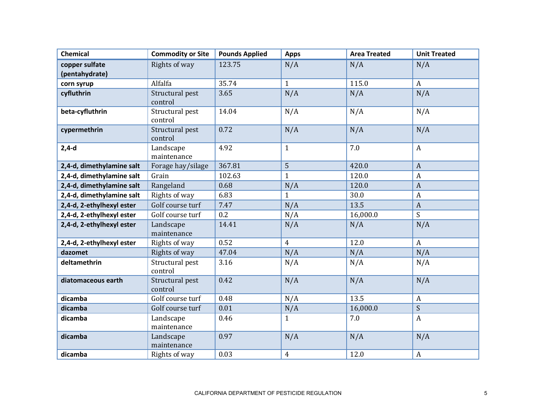| <b>Chemical</b>           | <b>Commodity or Site</b>   | <b>Pounds Applied</b> | <b>Apps</b>    | <b>Area Treated</b> | <b>Unit Treated</b> |
|---------------------------|----------------------------|-----------------------|----------------|---------------------|---------------------|
| copper sulfate            | Rights of way              | 123.75                | N/A            | N/A                 | N/A                 |
| (pentahydrate)            |                            |                       |                |                     |                     |
| corn syrup                | Alfalfa                    | 35.74                 | $\mathbf{1}$   | 115.0               | $\mathbf{A}$        |
| cyfluthrin                | Structural pest<br>control | 3.65                  | N/A            | N/A                 | N/A                 |
| beta-cyfluthrin           | Structural pest<br>control | 14.04                 | N/A            | N/A                 | N/A                 |
| cypermethrin              | Structural pest<br>control | 0.72                  | N/A            | N/A                 | N/A                 |
| $2,4-d$                   | Landscape<br>maintenance   | 4.92                  | $\mathbf{1}$   | 7.0                 | $\mathbf{A}$        |
| 2,4-d, dimethylamine salt | Forage hay/silage          | 367.81                | 5              | 420.0               | $\mathbf{A}$        |
| 2,4-d, dimethylamine salt | Grain                      | 102.63                | $\mathbf{1}$   | 120.0               | A                   |
| 2,4-d, dimethylamine salt | Rangeland                  | 0.68                  | N/A            | 120.0               | $\boldsymbol{A}$    |
| 2,4-d, dimethylamine salt | Rights of way              | 6.83                  | $\mathbf{1}$   | 30.0                | A                   |
| 2,4-d, 2-ethylhexyl ester | Golf course turf           | 7.47                  | N/A            | 13.5                | $\mathbf{A}$        |
| 2,4-d, 2-ethylhexyl ester | Golf course turf           | 0.2                   | N/A            | 16,000.0            | S                   |
| 2,4-d, 2-ethylhexyl ester | Landscape<br>maintenance   | 14.41                 | N/A            | N/A                 | N/A                 |
| 2,4-d, 2-ethylhexyl ester | Rights of way              | 0.52                  | $\overline{4}$ | 12.0                | $\mathbf{A}$        |
| dazomet                   | Rights of way              | 47.04                 | N/A            | N/A                 | N/A                 |
| deltamethrin              | Structural pest<br>control | 3.16                  | N/A            | N/A                 | N/A                 |
| diatomaceous earth        | Structural pest<br>control | 0.42                  | N/A            | N/A                 | N/A                 |
| dicamba                   | Golf course turf           | 0.48                  | N/A            | 13.5                | $\mathbf{A}$        |
| dicamba                   | Golf course turf           | 0.01                  | N/A            | 16,000.0            | S                   |
| dicamba                   | Landscape<br>maintenance   | 0.46                  | $\mathbf{1}$   | 7.0                 | $\mathbf{A}$        |
| dicamba                   | Landscape<br>maintenance   | 0.97                  | N/A            | N/A                 | N/A                 |
| dicamba                   | Rights of way              | 0.03                  | $\overline{4}$ | 12.0                | A                   |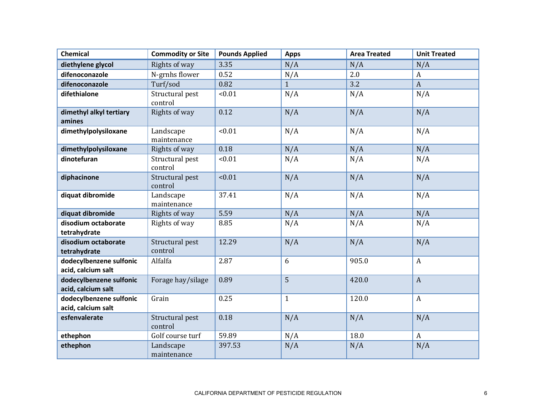| <b>Chemical</b>                               | <b>Commodity or Site</b>   | <b>Pounds Applied</b> | <b>Apps</b>  | <b>Area Treated</b> | <b>Unit Treated</b> |
|-----------------------------------------------|----------------------------|-----------------------|--------------|---------------------|---------------------|
| diethylene glycol                             | Rights of way              | 3.35                  | N/A          | N/A                 | N/A                 |
| difenoconazole                                | N-grnhs flower             | 0.52                  | N/A          | 2.0                 | A                   |
| difenoconazole                                | Turf/sod                   | 0.82                  | $\mathbf{1}$ | 3.2                 | $\mathbf{A}$        |
| difethialone                                  | Structural pest<br>control | < 0.01                | N/A          | N/A                 | N/A                 |
| dimethyl alkyl tertiary<br>amines             | Rights of way              | 0.12                  | N/A          | N/A                 | N/A                 |
| dimethylpolysiloxane                          | Landscape<br>maintenance   | < 0.01                | N/A          | N/A                 | N/A                 |
| dimethylpolysiloxane                          | Rights of way              | 0.18                  | N/A          | N/A                 | N/A                 |
| dinotefuran                                   | Structural pest<br>control | < 0.01                | N/A          | N/A                 | N/A                 |
| diphacinone                                   | Structural pest<br>control | < 0.01                | N/A          | N/A                 | N/A                 |
| diquat dibromide                              | Landscape<br>maintenance   | 37.41                 | N/A          | N/A                 | N/A                 |
| diquat dibromide                              | Rights of way              | 5.59                  | N/A          | N/A                 | N/A                 |
| disodium octaborate<br>tetrahydrate           | Rights of way              | 8.85                  | N/A          | N/A                 | N/A                 |
| disodium octaborate<br>tetrahydrate           | Structural pest<br>control | 12.29                 | N/A          | N/A                 | N/A                 |
| dodecylbenzene sulfonic<br>acid, calcium salt | Alfalfa                    | 2.87                  | 6            | 905.0               | $\mathbf{A}$        |
| dodecylbenzene sulfonic<br>acid, calcium salt | Forage hay/silage          | 0.89                  | 5            | 420.0               | $\boldsymbol{A}$    |
| dodecylbenzene sulfonic<br>acid, calcium salt | Grain                      | 0.25                  | $\mathbf{1}$ | 120.0               | $\mathbf{A}$        |
| esfenvalerate                                 | Structural pest<br>control | 0.18                  | N/A          | N/A                 | N/A                 |
| ethephon                                      | Golf course turf           | 59.89                 | N/A          | 18.0                | $\boldsymbol{A}$    |
| ethephon                                      | Landscape<br>maintenance   | 397.53                | N/A          | N/A                 | N/A                 |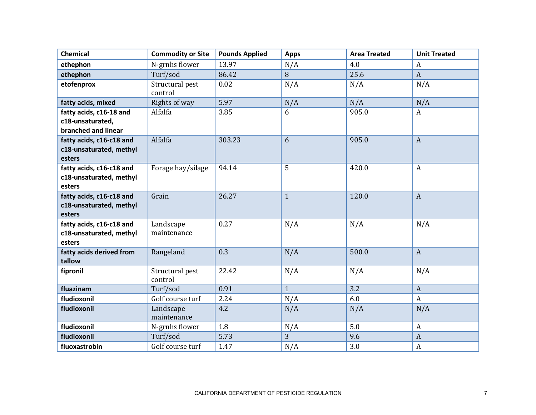| <b>Chemical</b>                                                    | <b>Commodity or Site</b>   | <b>Pounds Applied</b> | <b>Apps</b>  | <b>Area Treated</b> | <b>Unit Treated</b> |
|--------------------------------------------------------------------|----------------------------|-----------------------|--------------|---------------------|---------------------|
| ethephon                                                           | N-grnhs flower             | 13.97                 | N/A          | 4.0                 | A                   |
| ethephon                                                           | Turf/sod                   | 86.42                 | 8            | 25.6                | $\boldsymbol{A}$    |
| etofenprox                                                         | Structural pest<br>control | 0.02                  | N/A          | N/A                 | N/A                 |
| fatty acids, mixed                                                 | Rights of way              | 5.97                  | N/A          | N/A                 | N/A                 |
| fatty acids, c16-18 and<br>c18-unsaturated,<br>branched and linear | Alfalfa                    | 3.85                  | 6            | 905.0               | A                   |
| fatty acids, c16-c18 and<br>c18-unsaturated, methyl<br>esters      | Alfalfa                    | 303.23                | 6            | 905.0               | $\mathbf{A}$        |
| fatty acids, c16-c18 and<br>c18-unsaturated, methyl<br>esters      | Forage hay/silage          | 94.14                 | 5            | 420.0               | $\boldsymbol{A}$    |
| fatty acids, c16-c18 and<br>c18-unsaturated, methyl<br>esters      | Grain                      | 26.27                 | $\mathbf{1}$ | 120.0               | $\boldsymbol{A}$    |
| fatty acids, c16-c18 and<br>c18-unsaturated, methyl<br>esters      | Landscape<br>maintenance   | 0.27                  | N/A          | N/A                 | N/A                 |
| fatty acids derived from<br>tallow                                 | Rangeland                  | 0.3                   | N/A          | 500.0               | $\mathbf{A}$        |
| fipronil                                                           | Structural pest<br>control | 22.42                 | N/A          | N/A                 | N/A                 |
| fluazinam                                                          | Turf/sod                   | 0.91                  | $\mathbf{1}$ | 3.2                 | $\mathbf{A}$        |
| fludioxonil                                                        | Golf course turf           | 2.24                  | N/A          | 6.0                 | $\boldsymbol{A}$    |
| fludioxonil                                                        | Landscape<br>maintenance   | 4.2                   | N/A          | N/A                 | N/A                 |
| fludioxonil                                                        | N-grnhs flower             | 1.8                   | N/A          | 5.0                 | $\boldsymbol{A}$    |
| fludioxonil                                                        | Turf/sod                   | 5.73                  | 3            | 9.6                 | $\boldsymbol{A}$    |
| fluoxastrobin                                                      | Golf course turf           | 1.47                  | N/A          | 3.0                 | $\boldsymbol{A}$    |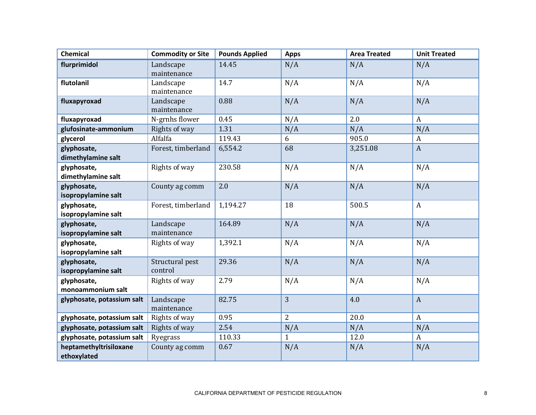| <b>Chemical</b>            | <b>Commodity or Site</b> | <b>Pounds Applied</b> | <b>Apps</b> | <b>Area Treated</b> | <b>Unit Treated</b> |
|----------------------------|--------------------------|-----------------------|-------------|---------------------|---------------------|
| flurprimidol               | Landscape                | 14.45                 | N/A         | N/A                 | N/A                 |
|                            | maintenance              |                       |             |                     |                     |
| flutolanil                 | Landscape                | 14.7                  | N/A         | N/A                 | N/A                 |
|                            | maintenance              |                       |             |                     |                     |
| fluxapyroxad               | Landscape                | 0.88                  | N/A         | N/A                 | N/A                 |
|                            | maintenance              |                       |             |                     |                     |
| fluxapyroxad               | N-grnhs flower           | 0.45                  | N/A         | 2.0                 | $\mathbf{A}$        |
| glufosinate-ammonium       | Rights of way            | 1.31                  | N/A         | N/A                 | N/A                 |
| glycerol                   | Alfalfa                  | 119.43                | 6           | 905.0               | A                   |
| glyphosate,                | Forest, timberland       | 6,554.2               | 68          | 3,251.08            | $\mathbf{A}$        |
| dimethylamine salt         |                          |                       |             |                     |                     |
| glyphosate,                | Rights of way            | 230.58                | N/A         | N/A                 | N/A                 |
| dimethylamine salt         |                          |                       |             |                     |                     |
| glyphosate,                | County ag comm           | 2.0                   | N/A         | N/A                 | N/A                 |
| isopropylamine salt        |                          |                       |             |                     |                     |
| glyphosate,                | Forest, timberland       | 1,194.27              | 18          | 500.5               | $\mathbf{A}$        |
| isopropylamine salt        |                          |                       |             |                     |                     |
| glyphosate,                | Landscape                | 164.89                | N/A         | N/A                 | N/A                 |
| isopropylamine salt        | maintenance              |                       |             |                     |                     |
| glyphosate,                | Rights of way            | 1,392.1               | N/A         | N/A                 | N/A                 |
| isopropylamine salt        |                          |                       |             |                     |                     |
| glyphosate,                | Structural pest          | 29.36                 | N/A         | N/A                 | N/A                 |
| isopropylamine salt        | control                  |                       |             |                     |                     |
| glyphosate,                | Rights of way            | 2.79                  | N/A         | N/A                 | N/A                 |
| monoammonium salt          |                          |                       |             |                     |                     |
| glyphosate, potassium salt | Landscape                | 82.75                 | 3           | 4.0                 | $\mathbf{A}$        |
|                            | maintenance              |                       |             |                     |                     |
| glyphosate, potassium salt | Rights of way            | 0.95                  | 2           | 20.0                | $\mathbf{A}$        |
| glyphosate, potassium salt | Rights of way            | 2.54                  | N/A         | N/A                 | N/A                 |
| glyphosate, potassium salt | Ryegrass                 | 110.33                | 1           | 12.0                | A                   |
| heptamethyltrisiloxane     | County ag comm           | 0.67                  | N/A         | N/A                 | N/A                 |
| ethoxylated                |                          |                       |             |                     |                     |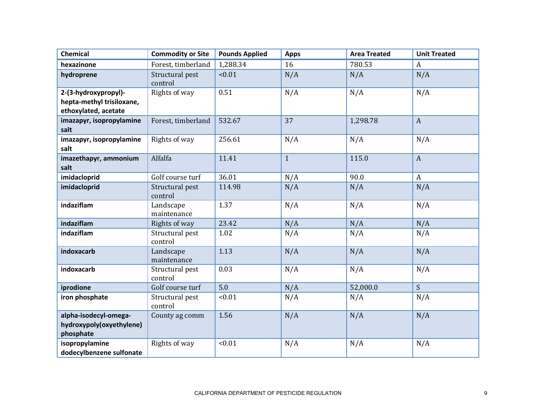| <b>Chemical</b>                                                           | <b>Commodity or Site</b>   | <b>Pounds Applied</b> | <b>Apps</b>  | <b>Area Treated</b> | <b>Unit Treated</b> |
|---------------------------------------------------------------------------|----------------------------|-----------------------|--------------|---------------------|---------------------|
| hexazinone                                                                | Forest, timberland         | 1,288.34              | 16           | 780.53              | A                   |
| hydroprene                                                                | Structural pest<br>control | < 0.01                | N/A          | N/A                 | N/A                 |
| 2-(3-hydroxypropyl)-<br>hepta-methyl trisiloxane,<br>ethoxylated, acetate | Rights of way              | 0.51                  | N/A          | N/A                 | N/A                 |
| imazapyr, isopropylamine<br>salt                                          | Forest, timberland         | 532.67                | 37           | 1,298.78            | $\mathbf{A}$        |
| imazapyr, isopropylamine<br>salt                                          | Rights of way              | 256.61                | N/A          | N/A                 | N/A                 |
| imazethapyr, ammonium<br>salt                                             | Alfalfa                    | 11.41                 | $\mathbf{1}$ | 115.0               | $\mathbf{A}$        |
| imidacloprid                                                              | Golf course turf           | 36.01                 | N/A          | 90.0                | $\mathbf{A}$        |
| imidacloprid                                                              | Structural pest<br>control | 114.98                | N/A          | N/A                 | N/A                 |
| indaziflam                                                                | Landscape<br>maintenance   | 1.37                  | N/A          | N/A                 | N/A                 |
| indaziflam                                                                | Rights of way              | 23.42                 | N/A          | N/A                 | N/A                 |
| indaziflam                                                                | Structural pest<br>control | 1.02                  | N/A          | N/A                 | N/A                 |
| indoxacarb                                                                | Landscape<br>maintenance   | 1.13                  | N/A          | N/A                 | N/A                 |
| indoxacarb                                                                | Structural pest<br>control | 0.03                  | N/A          | N/A                 | N/A                 |
| iprodione                                                                 | Golf course turf           | 5.0                   | N/A          | 52,000.0            | S                   |
| iron phosphate                                                            | Structural pest<br>control | < 0.01                | N/A          | N/A                 | N/A                 |
| alpha-isodecyl-omega-<br>hydroxypoly(oxyethylene)<br>phosphate            | County ag comm             | 1.56                  | N/A          | N/A                 | N/A                 |
| isopropylamine<br>dodecylbenzene sulfonate                                | Rights of way              | < 0.01                | N/A          | N/A                 | N/A                 |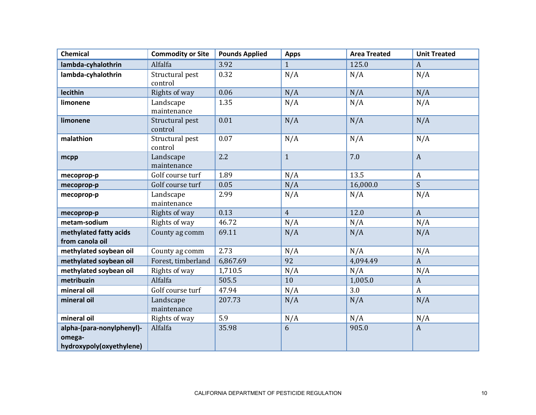| <b>Chemical</b>                                                 | <b>Commodity or Site</b>   | <b>Pounds Applied</b> | <b>Apps</b>    | <b>Area Treated</b> | <b>Unit Treated</b> |
|-----------------------------------------------------------------|----------------------------|-----------------------|----------------|---------------------|---------------------|
| lambda-cyhalothrin                                              | Alfalfa                    | 3.92                  | $\mathbf{1}$   | 125.0               | $\mathbf{A}$        |
| lambda-cyhalothrin                                              | Structural pest<br>control | 0.32                  | N/A            | N/A                 | N/A                 |
| lecithin                                                        | Rights of way              | 0.06                  | N/A            | N/A                 | N/A                 |
| limonene                                                        | Landscape<br>maintenance   | 1.35                  | N/A            | N/A                 | N/A                 |
| limonene                                                        | Structural pest<br>control | 0.01                  | N/A            | N/A                 | N/A                 |
| malathion                                                       | Structural pest<br>control | 0.07                  | N/A            | N/A                 | N/A                 |
| mcpp                                                            | Landscape<br>maintenance   | 2.2                   | $\mathbf{1}$   | 7.0                 | $\mathbf{A}$        |
| mecoprop-p                                                      | Golf course turf           | 1.89                  | N/A            | 13.5                | $\boldsymbol{A}$    |
| mecoprop-p                                                      | Golf course turf           | 0.05                  | N/A            | 16,000.0            | $\mathsf{S}$        |
| mecoprop-p                                                      | Landscape<br>maintenance   | 2.99                  | N/A            | N/A                 | N/A                 |
| mecoprop-p                                                      | Rights of way              | 0.13                  | $\overline{4}$ | 12.0                | $\mathbf{A}$        |
| metam-sodium                                                    | Rights of way              | 46.72                 | N/A            | N/A                 | N/A                 |
| methylated fatty acids<br>from canola oil                       | County ag comm             | 69.11                 | N/A            | N/A                 | N/A                 |
| methylated soybean oil                                          | County ag comm             | 2.73                  | N/A            | N/A                 | N/A                 |
| methylated soybean oil                                          | Forest, timberland         | 6,867.69              | 92             | 4,094.49            | $\mathbf{A}$        |
| methylated soybean oil                                          | Rights of way              | 1,710.5               | N/A            | N/A                 | N/A                 |
| metribuzin                                                      | Alfalfa                    | 505.5                 | 10             | 1,005.0             | $\mathbf{A}$        |
| mineral oil                                                     | Golf course turf           | 47.94                 | N/A            | 3.0                 | $\mathbf{A}$        |
| mineral oil                                                     | Landscape<br>maintenance   | 207.73                | N/A            | N/A                 | N/A                 |
| mineral oil                                                     | Rights of way              | 5.9                   | N/A            | N/A                 | N/A                 |
| alpha-(para-nonylphenyl)-<br>omega-<br>hydroxypoly(oxyethylene) | Alfalfa                    | 35.98                 | 6              | 905.0               | $\mathbf{A}$        |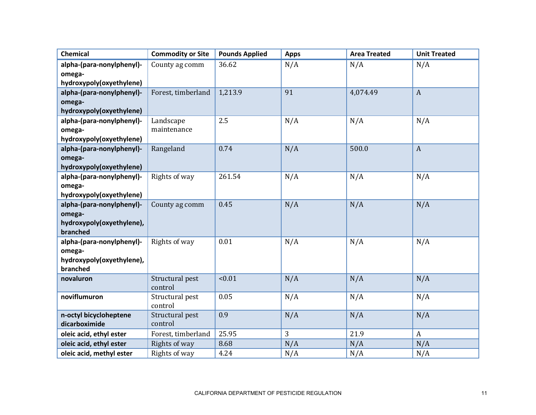| <b>Chemical</b>                     | <b>Commodity or Site</b> | <b>Pounds Applied</b> | <b>Apps</b> | <b>Area Treated</b> | <b>Unit Treated</b> |
|-------------------------------------|--------------------------|-----------------------|-------------|---------------------|---------------------|
| alpha-(para-nonylphenyl)-           | County ag comm           | 36.62                 | N/A         | N/A                 | N/A                 |
| omega-                              |                          |                       |             |                     |                     |
| hydroxypoly(oxyethylene)            |                          |                       |             |                     |                     |
| alpha-(para-nonylphenyl)-           | Forest, timberland       | 1,213.9               | 91          | 4,074.49            | $\mathbf{A}$        |
| omega-                              |                          |                       |             |                     |                     |
| hydroxypoly(oxyethylene)            |                          |                       |             |                     |                     |
| alpha-(para-nonylphenyl)-           | Landscape                | 2.5                   | N/A         | N/A                 | N/A                 |
| omega-                              | maintenance              |                       |             |                     |                     |
| hydroxypoly(oxyethylene)            |                          |                       |             |                     |                     |
| alpha-(para-nonylphenyl)-           | Rangeland                | 0.74                  | N/A         | 500.0               | $\mathbf{A}$        |
| omega-                              |                          |                       |             |                     |                     |
| hydroxypoly(oxyethylene)            |                          |                       |             |                     |                     |
| alpha-(para-nonylphenyl)-           | Rights of way            | 261.54                | N/A         | N/A                 | N/A                 |
| omega-                              |                          |                       |             |                     |                     |
| hydroxypoly(oxyethylene)            |                          |                       |             |                     |                     |
| alpha-(para-nonylphenyl)-           | County ag comm           | 0.45                  | N/A         | N/A                 | N/A                 |
| omega-<br>hydroxypoly(oxyethylene), |                          |                       |             |                     |                     |
| branched                            |                          |                       |             |                     |                     |
| alpha-(para-nonylphenyl)-           | Rights of way            | 0.01                  | N/A         | N/A                 | N/A                 |
| omega-                              |                          |                       |             |                     |                     |
| hydroxypoly(oxyethylene),           |                          |                       |             |                     |                     |
| branched                            |                          |                       |             |                     |                     |
| novaluron                           | Structural pest          | < 0.01                | N/A         | N/A                 | N/A                 |
|                                     | control                  |                       |             |                     |                     |
| noviflumuron                        | Structural pest          | 0.05                  | N/A         | N/A                 | N/A                 |
|                                     | control                  |                       |             |                     |                     |
| n-octyl bicycloheptene              | Structural pest          | 0.9                   | N/A         | N/A                 | N/A                 |
| dicarboximide                       | control                  |                       |             |                     |                     |
| oleic acid, ethyl ester             | Forest, timberland       | 25.95                 | 3           | 21.9                | $\boldsymbol{A}$    |
| oleic acid, ethyl ester             | Rights of way            | 8.68                  | N/A         | N/A                 | N/A                 |
| oleic acid, methyl ester            | Rights of way            | 4.24                  | N/A         | N/A                 | N/A                 |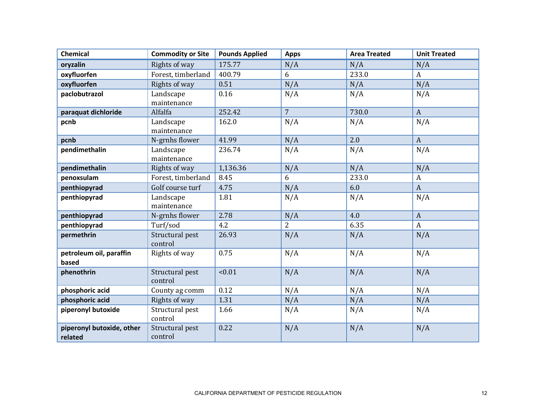| <b>Chemical</b>                      | <b>Commodity or Site</b>   | <b>Pounds Applied</b> | <b>Apps</b>    | <b>Area Treated</b> | <b>Unit Treated</b> |
|--------------------------------------|----------------------------|-----------------------|----------------|---------------------|---------------------|
| oryzalin                             | Rights of way              | 175.77                | N/A            | N/A                 | N/A                 |
| oxyfluorfen                          | Forest, timberland         | 400.79                | 6              | 233.0               | $\mathbf{A}$        |
| oxyfluorfen                          | Rights of way              | 0.51                  | N/A            | N/A                 | N/A                 |
| paclobutrazol                        | Landscape<br>maintenance   | 0.16                  | N/A            | N/A                 | N/A                 |
| paraquat dichloride                  | Alfalfa                    | 252.42                | $\overline{7}$ | 730.0               | $\mathbf{A}$        |
| pcnb                                 | Landscape<br>maintenance   | 162.0                 | N/A            | N/A                 | N/A                 |
| pcnb                                 | N-grnhs flower             | 41.99                 | N/A            | 2.0                 | $\mathbf{A}$        |
| pendimethalin                        | Landscape<br>maintenance   | 236.74                | N/A            | N/A                 | N/A                 |
| pendimethalin                        | Rights of way              | 1,136.36              | N/A            | N/A                 | N/A                 |
| penoxsulam                           | Forest, timberland         | 8.45                  | 6              | 233.0               | A                   |
| penthiopyrad                         | Golf course turf           | 4.75                  | N/A            | 6.0                 | $\mathbf{A}$        |
| penthiopyrad                         | Landscape<br>maintenance   | 1.81                  | N/A            | N/A                 | N/A                 |
| penthiopyrad                         | N-grnhs flower             | 2.78                  | N/A            | 4.0                 | $\mathbf{A}$        |
| penthiopyrad                         | Turf/sod                   | 4.2                   | $\overline{2}$ | 6.35                | $\mathbf{A}$        |
| permethrin                           | Structural pest<br>control | 26.93                 | N/A            | N/A                 | N/A                 |
| petroleum oil, paraffin<br>based     | Rights of way              | 0.75                  | N/A            | N/A                 | N/A                 |
| phenothrin                           | Structural pest<br>control | < 0.01                | N/A            | N/A                 | N/A                 |
| phosphoric acid                      | County ag comm             | 0.12                  | N/A            | N/A                 | N/A                 |
| phosphoric acid                      | Rights of way              | 1.31                  | N/A            | N/A                 | N/A                 |
| piperonyl butoxide                   | Structural pest<br>control | 1.66                  | N/A            | N/A                 | N/A                 |
| piperonyl butoxide, other<br>related | Structural pest<br>control | 0.22                  | N/A            | N/A                 | N/A                 |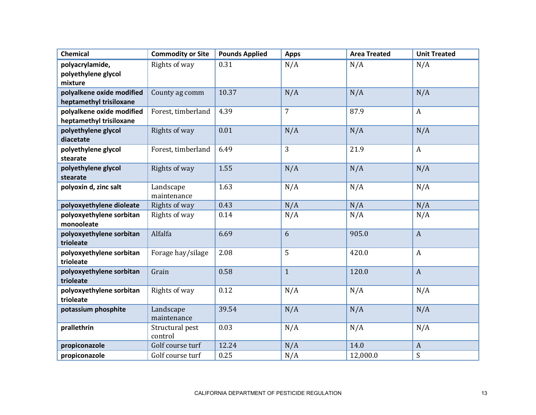| <b>Chemical</b>                                      | <b>Commodity or Site</b>   | <b>Pounds Applied</b> | <b>Apps</b>    | <b>Area Treated</b> | <b>Unit Treated</b> |
|------------------------------------------------------|----------------------------|-----------------------|----------------|---------------------|---------------------|
| polyacrylamide,<br>polyethylene glycol<br>mixture    | Rights of way              | 0.31                  | N/A            | N/A                 | N/A                 |
| polyalkene oxide modified<br>heptamethyl trisiloxane | County ag comm             | 10.37                 | N/A            | N/A                 | N/A                 |
| polyalkene oxide modified<br>heptamethyl trisiloxane | Forest, timberland         | 4.39                  | $\overline{7}$ | 87.9                | $\mathbf{A}$        |
| polyethylene glycol<br>diacetate                     | Rights of way              | 0.01                  | N/A            | N/A                 | N/A                 |
| polyethylene glycol<br>stearate                      | Forest, timberland         | 6.49                  | 3              | 21.9                | $\mathbf{A}$        |
| polyethylene glycol<br>stearate                      | Rights of way              | 1.55                  | N/A            | N/A                 | N/A                 |
| polyoxin d, zinc salt                                | Landscape<br>maintenance   | 1.63                  | N/A            | N/A                 | N/A                 |
| polyoxyethylene dioleate                             | Rights of way              | 0.43                  | N/A            | N/A                 | N/A                 |
| polyoxyethylene sorbitan<br>monooleate               | Rights of way              | 0.14                  | N/A            | N/A                 | N/A                 |
| polyoxyethylene sorbitan<br>trioleate                | Alfalfa                    | 6.69                  | 6              | 905.0               | $\mathbf{A}$        |
| polyoxyethylene sorbitan<br>trioleate                | Forage hay/silage          | 2.08                  | 5              | 420.0               | $\boldsymbol{A}$    |
| polyoxyethylene sorbitan<br>trioleate                | Grain                      | 0.58                  | $\mathbf{1}$   | 120.0               | $\mathbf{A}$        |
| polyoxyethylene sorbitan<br>trioleate                | Rights of way              | 0.12                  | N/A            | N/A                 | N/A                 |
| potassium phosphite                                  | Landscape<br>maintenance   | 39.54                 | N/A            | N/A                 | N/A                 |
| prallethrin                                          | Structural pest<br>control | 0.03                  | N/A            | N/A                 | N/A                 |
| propiconazole                                        | Golf course turf           | 12.24                 | N/A            | 14.0                | $\boldsymbol{A}$    |
| propiconazole                                        | Golf course turf           | 0.25                  | N/A            | 12,000.0            | S                   |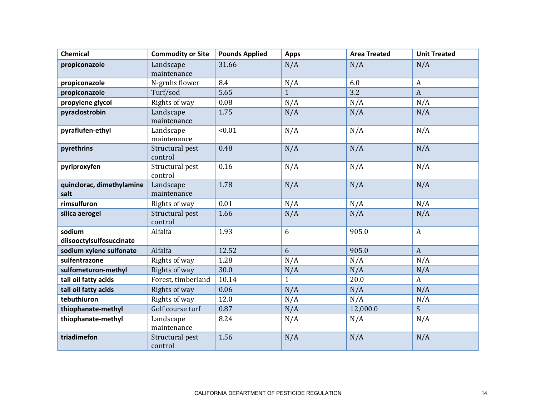| <b>Chemical</b>                    | <b>Commodity or Site</b>   | <b>Pounds Applied</b> | <b>Apps</b>  | <b>Area Treated</b> | <b>Unit Treated</b> |
|------------------------------------|----------------------------|-----------------------|--------------|---------------------|---------------------|
| propiconazole                      | Landscape                  | 31.66                 | N/A          | N/A                 | N/A                 |
|                                    | maintenance                |                       |              |                     |                     |
| propiconazole                      | N-grnhs flower             | 8.4                   | N/A          | 6.0                 | A                   |
| propiconazole                      | Turf/sod                   | 5.65                  | $\mathbf{1}$ | 3.2                 | $\mathbf{A}$        |
| propylene glycol                   | Rights of way              | 0.08                  | N/A          | N/A                 | N/A                 |
| pyraclostrobin                     | Landscape<br>maintenance   | 1.75                  | N/A          | N/A                 | N/A                 |
| pyraflufen-ethyl                   | Landscape<br>maintenance   | < 0.01                | N/A          | N/A                 | N/A                 |
| pyrethrins                         | Structural pest<br>control | 0.48                  | N/A          | N/A                 | N/A                 |
| pyriproxyfen                       | Structural pest<br>control | 0.16                  | N/A          | N/A                 | N/A                 |
| quinclorac, dimethylamine<br>salt  | Landscape<br>maintenance   | 1.78                  | N/A          | N/A                 | N/A                 |
| rimsulfuron                        | Rights of way              | 0.01                  | N/A          | N/A                 | N/A                 |
| silica aerogel                     | Structural pest<br>control | 1.66                  | N/A          | N/A                 | N/A                 |
| sodium<br>diisooctylsulfosuccinate | Alfalfa                    | 1.93                  | 6            | 905.0               | $\mathbf{A}$        |
| sodium xylene sulfonate            | Alfalfa                    | 12.52                 | 6            | 905.0               | $\mathbf{A}$        |
| sulfentrazone                      | Rights of way              | 1.28                  | N/A          | N/A                 | N/A                 |
| sulfometuron-methyl                | Rights of way              | 30.0                  | N/A          | N/A                 | N/A                 |
| tall oil fatty acids               | Forest, timberland         | 10.14                 | 1            | 20.0                | $\mathbf{A}$        |
| tall oil fatty acids               | Rights of way              | 0.06                  | N/A          | N/A                 | N/A                 |
| tebuthiuron                        | Rights of way              | 12.0                  | N/A          | N/A                 | N/A                 |
| thiophanate-methyl                 | Golf course turf           | 0.87                  | N/A          | 12,000.0            | S.                  |
| thiophanate-methyl                 | Landscape<br>maintenance   | 8.24                  | N/A          | N/A                 | N/A                 |
| triadimefon                        | Structural pest<br>control | 1.56                  | N/A          | N/A                 | N/A                 |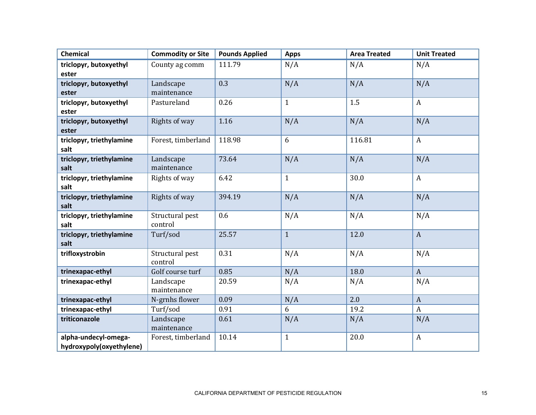| <b>Chemical</b>          | <b>Commodity or Site</b> | <b>Pounds Applied</b> | <b>Apps</b>  | <b>Area Treated</b> | <b>Unit Treated</b> |
|--------------------------|--------------------------|-----------------------|--------------|---------------------|---------------------|
| triclopyr, butoxyethyl   | County ag comm           | 111.79                | N/A          | N/A                 | N/A                 |
| ester                    |                          |                       |              |                     |                     |
| triclopyr, butoxyethyl   | Landscape                | 0.3                   | N/A          | N/A                 | N/A                 |
| ester                    | maintenance              |                       |              |                     |                     |
| triclopyr, butoxyethyl   | Pastureland              | 0.26                  | $\mathbf{1}$ | 1.5                 | $\mathbf{A}$        |
| ester                    |                          |                       |              |                     |                     |
| triclopyr, butoxyethyl   | Rights of way            | 1.16                  | N/A          | N/A                 | N/A                 |
| ester                    |                          |                       |              |                     |                     |
| triclopyr, triethylamine | Forest, timberland       | 118.98                | 6            | 116.81              | $\mathbf{A}$        |
| salt                     |                          |                       |              |                     |                     |
| triclopyr, triethylamine | Landscape                | 73.64                 | N/A          | N/A                 | N/A                 |
| salt                     | maintenance              |                       |              |                     |                     |
| triclopyr, triethylamine | Rights of way            | 6.42                  | $\mathbf{1}$ | 30.0                | $\mathbf{A}$        |
| salt                     |                          |                       |              |                     |                     |
| triclopyr, triethylamine | Rights of way            | 394.19                | N/A          | N/A                 | N/A                 |
| salt                     |                          |                       |              |                     |                     |
| triclopyr, triethylamine | Structural pest          | 0.6                   | N/A          | N/A                 | N/A                 |
| salt                     | control                  |                       |              |                     |                     |
| triclopyr, triethylamine | Turf/sod                 | 25.57                 | $\mathbf{1}$ | 12.0                | $\mathbf{A}$        |
| salt                     |                          |                       |              |                     |                     |
| trifloxystrobin          | Structural pest          | 0.31                  | N/A          | N/A                 | N/A                 |
|                          | control                  |                       |              |                     |                     |
| trinexapac-ethyl         | Golf course turf         | 0.85                  | N/A          | 18.0                | $\mathbf{A}$        |
| trinexapac-ethyl         | Landscape                | 20.59                 | N/A          | N/A                 | N/A                 |
|                          | maintenance              |                       |              |                     |                     |
| trinexapac-ethyl         | N-grnhs flower           | 0.09                  | N/A          | 2.0                 | $\mathbf{A}$        |
| trinexapac-ethyl         | Turf/sod                 | 0.91                  | 6            | 19.2                | $\mathbf{A}$        |
| triticonazole            | Landscape                | 0.61                  | N/A          | N/A                 | N/A                 |
|                          | maintenance              |                       |              |                     |                     |
| alpha-undecyl-omega-     | Forest, timberland       | 10.14                 | $\mathbf{1}$ | 20.0                | $\boldsymbol{A}$    |
| hydroxypoly(oxyethylene) |                          |                       |              |                     |                     |